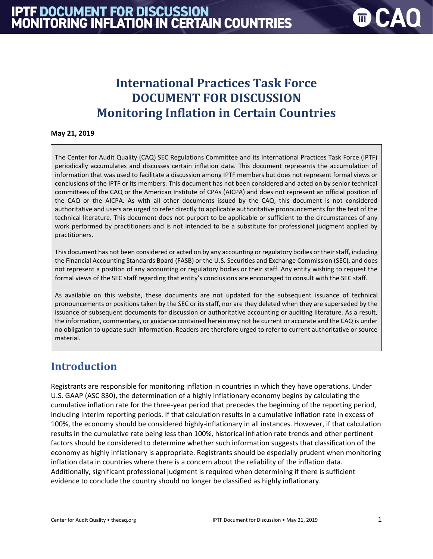# **International Practices Task Force DOCUMENT FOR DISCUSSION Monitoring Inflation in Certain Countries**

#### **May 21, 2019**

The Center for Audit Quality (CAQ) SEC Regulations Committee and its International Practices Task Force (IPTF) periodically accumulates and discusses certain inflation data. This document represents the accumulation of information that was used to facilitate a discussion among IPTF members but does not represent formal views or conclusions of the IPTF or its members. This document has not been considered and acted on by senior technical committees of the CAQ or the American Institute of CPAs (AICPA) and does not represent an official position of the CAQ or the AICPA. As with all other documents issued by the CAQ, this document is not considered authoritative and users are urged to refer directly to applicable authoritative pronouncements for the text of the technical literature. This document does not purport to be applicable or sufficient to the circumstances of any work performed by practitioners and is not intended to be a substitute for professional judgment applied by practitioners.

This document has not been considered or acted on by any accounting or regulatory bodies or their staff, including the Financial Accounting Standards Board (FASB) or the U.S. Securities and Exchange Commission (SEC), and does not represent a position of any accounting or regulatory bodies or their staff. Any entity wishing to request the formal views of the SEC staff regarding that entity's conclusions are encouraged to consult with the SEC staff.

As available on this website, these documents are not updated for the subsequent issuance of technical pronouncements or positions taken by the SEC or its staff, nor are they deleted when they are superseded by the issuance of subsequent documents for discussion or authoritative accounting or auditing literature. As a result, the information, commentary, or guidance contained herein may not be current or accurate and the CAQ is under no obligation to update such information. Readers are therefore urged to refer to current authoritative or source material.

## **Introduction**

Registrants are responsible for monitoring inflation in countries in which they have operations. Under U.S. GAAP (ASC 830), the determination of a highly inflationary economy begins by calculating the cumulative inflation rate for the three-year period that precedes the beginning of the reporting period, including interim reporting periods. If that calculation results in a cumulative inflation rate in excess of 100%, the economy should be considered highly-inflationary in all instances. However, if that calculation results in the cumulative rate being less than 100%, historical inflation rate trends and other pertinent factors should be considered to determine whether such information suggests that classification of the economy as highly inflationary is appropriate. Registrants should be especially prudent when monitoring inflation data in countries where there is a concern about the reliability of the inflation data. Additionally, significant professional judgment is required when determining if there is sufficient evidence to conclude the country should no longer be classified as highly inflationary.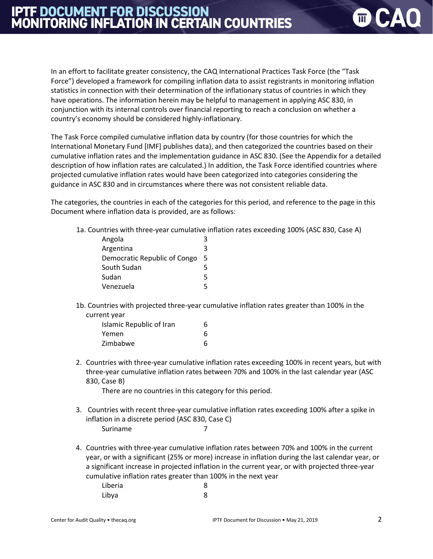# **IPTF DOCUMENT FOR DISCUSSION<br>MONITORING INFLATION IN CERTAIN COUNTRIES**

In an effort to facilitate greater consistency, the CAQ International Practices Task Force (the "Task Force") developed a framework for compiling inflation data to assist registrants in monitoring inflation statistics in connection with their determination of the inflationary status of countries in which they have operations. The information herein may be helpful to management in applying ASC 830, in conjunction with its internal controls over financial reporting to reach a conclusion on whether a country's economy should be considered highly-inflationary.

The Task Force compiled cumulative inflation data by country (for those countries for which the International Monetary Fund [IMF] publishes data), and then categorized the countries based on their cumulative inflation rates and the implementation guidance in ASC 830. (See the Appendix for a detailed description of how inflation rates are calculated.) In addition, the Task Force identified countries where projected cumulative inflation rates would have been categorized into categories considering the guidance in ASC 830 and in circumstances where there was not consistent reliable data.

The categories, the countries in each of the categories for this period, and reference to the page in this Document where inflation data is provided, are as follows:

1a. Countries with three-year cumulative inflation rates exceeding 100% (ASC 830, Case A)

| Angola                       |   |
|------------------------------|---|
| Argentina                    | ર |
| Democratic Republic of Congo | 5 |
| South Sudan                  | 5 |
| Sudan                        | 5 |
| Venezuela                    | ц |

1b. Countries with projected three-year cumulative inflation rates greater than 100% in the current year

| Islamic Republic of Iran | 6 |
|--------------------------|---|
| Yemen                    | 6 |
| Zimbabwe                 | 6 |

2. Countries with three-year cumulative inflation rates exceeding 100% in recent years, but with three-year cumulative inflation rates between 70% and 100% in the last calendar year (ASC 830, Case B)

There are no countries in this category for this period.

- 3. Countries with recent three-year cumulative inflation rates exceeding 100% after a spike in inflation in a discrete period (ASC 830, Case C) Suriname 7
- 4. Countries with three-year cumulative inflation rates between 70% and 100% in the current year, or with a significant (25% or more) increase in inflation during the last calendar year, or a significant increase in projected inflation in the current year, or with projected three-year cumulative inflation rates greater than 100% in the next year Liberia 8 Libya 8

 $\blacksquare$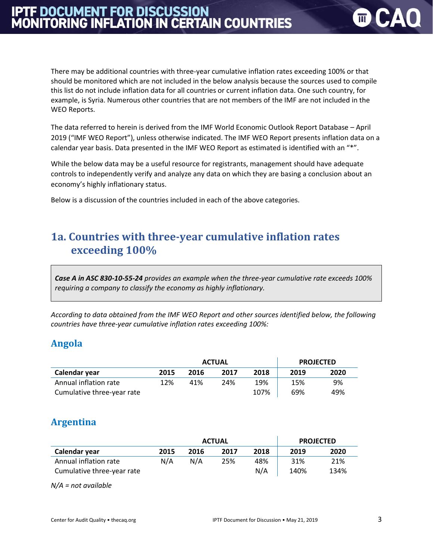There may be additional countries with three-year cumulative inflation rates exceeding 100% or that should be monitored which are not included in the below analysis because the sources used to compile this list do not include inflation data for all countries or current inflation data. One such country, for example, is Syria. Numerous other countries that are not members of the IMF are not included in the WEO Reports.

The data referred to herein is derived from the IMF World Economic Outlook Report Database – April 2019 ("IMF WEO Report"), unless otherwise indicated. The IMF WEO Report presents inflation data on a calendar year basis. Data presented in the IMF WEO Report as estimated is identified with an "\*".

While the below data may be a useful resource for registrants, management should have adequate controls to independently verify and analyze any data on which they are basing a conclusion about an economy's highly inflationary status.

Below is a discussion of the countries included in each of the above categories.

## **1a. Countries with three-year cumulative inflation rates exceeding 100%**

*Case A in ASC 830-10-55-24 provides an example when the three-year cumulative rate exceeds 100% requiring a company to classify the economy as highly inflationary.*

*According to data obtained from the IMF WEO Report and other sources identified below, the following countries have three-year cumulative inflation rates exceeding 100%:*

#### **Angola**

|                            |      | <b>ACTUAL</b> |      | <b>PROJECTED</b> |      |      |
|----------------------------|------|---------------|------|------------------|------|------|
| Calendar year              | 2015 | 2016          | 2017 | 2018             | 2019 | 2020 |
| Annual inflation rate      | 12%  | 41%           | 24%  | 19%              | 15%  | 9%   |
| Cumulative three-year rate |      |               |      | 107%             | 69%  | 49%  |

#### **Argentina**

|                            |      | <b>ACTUAL</b> |      | <b>PROJECTED</b> |      |      |
|----------------------------|------|---------------|------|------------------|------|------|
| Calendar year              | 2015 | 2016          | 2017 | 2018             | 2019 | 2020 |
| Annual inflation rate      | N/A  | N/A           | 25%  | 48%              | 31%  | 21%  |
| Cumulative three-year rate |      |               |      | N/A              | 140% | 134% |

*N/A = not available*

 $\blacksquare$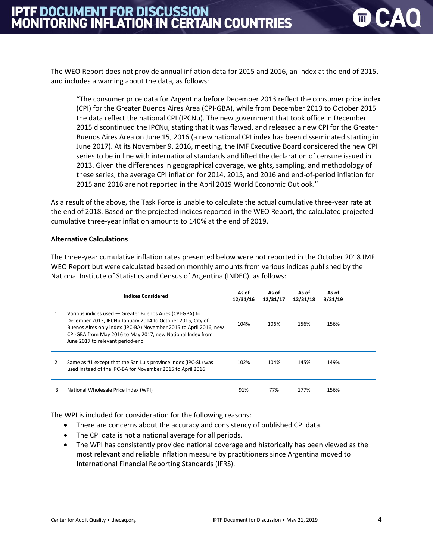The WEO Report does not provide annual inflation data for 2015 and 2016, an index at the end of 2015, and includes a warning about the data, as follows:

"The consumer price data for Argentina before December 2013 reflect the consumer price index (CPI) for the Greater Buenos Aires Area (CPI-GBA), while from December 2013 to October 2015 the data reflect the national CPI (IPCNu). The new government that took office in December 2015 discontinued the IPCNu, stating that it was flawed, and released a new CPI for the Greater Buenos Aires Area on June 15, 2016 (a new national CPI index has been disseminated starting in June 2017). At its November 9, 2016, meeting, the IMF Executive Board considered the new CPI series to be in line with international standards and lifted the declaration of censure issued in 2013. Given the differences in geographical coverage, weights, sampling, and methodology of these series, the average CPI inflation for 2014, 2015, and 2016 and end-of-period inflation for 2015 and 2016 are not reported in the April 2019 World Economic Outlook."

As a result of the above, the Task Force is unable to calculate the actual cumulative three-year rate at the end of 2018. Based on the projected indices reported in the WEO Report, the calculated projected cumulative three-year inflation amounts to 140% at the end of 2019.

#### **Alternative Calculations**

The three-year cumulative inflation rates presented below were not reported in the October 2018 IMF WEO Report but were calculated based on monthly amounts from various indices published by the National Institute of Statistics and Census of Argentina (INDEC), as follows:

|               | <b>Indices Considered</b>                                                                                                                                                                                                                                                                     | As of<br>12/31/16 | As of<br>12/31/17 | As of<br>12/31/18 | As of<br>3/31/19 |  |
|---------------|-----------------------------------------------------------------------------------------------------------------------------------------------------------------------------------------------------------------------------------------------------------------------------------------------|-------------------|-------------------|-------------------|------------------|--|
| 1             | Various indices used - Greater Buenos Aires (CPI-GBA) to<br>December 2013, IPCNu January 2014 to October 2015, City of<br>Buenos Aires only index (IPC-BA) November 2015 to April 2016, new<br>CPI-GBA from May 2016 to May 2017, new National Index from<br>June 2017 to relevant period-end | 104%              | 106%              | 156%              | 156%             |  |
| $\mathcal{P}$ | Same as #1 except that the San Luis province index (IPC-SL) was<br>used instead of the IPC-BA for November 2015 to April 2016                                                                                                                                                                 | 102%              | 104%              | 145%              | 149%             |  |
| 3             | National Wholesale Price Index (WPI)                                                                                                                                                                                                                                                          | 91%               | 77%               | 177%              | 156%             |  |

The WPI is included for consideration for the following reasons:

- There are concerns about the accuracy and consistency of published CPI data.
- The CPI data is not a national average for all periods.
- The WPI has consistently provided national coverage and historically has been viewed as the most relevant and reliable inflation measure by practitioners since Argentina moved to International Financial Reporting Standards (IFRS).

 $\mathbb{I}$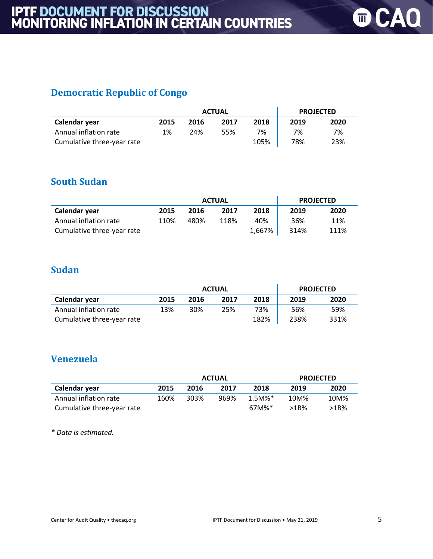## **Democratic Republic of Congo**

|                            | <b>ACTUAL</b> |      |      |      |      | <b>PROJECTED</b> |
|----------------------------|---------------|------|------|------|------|------------------|
| Calendar year              | 2015          | 2016 | 2017 | 2018 | 2019 | 2020             |
| Annual inflation rate      | 1%            | 24%  | 55%  | 7%   | 7%   | 7%               |
| Cumulative three-year rate |               |      |      | 105% | 78%  | 23%              |

## **South Sudan**

|                            | <b>ACTUAL</b> |      |      |        |      | <b>PROJECTED</b> |
|----------------------------|---------------|------|------|--------|------|------------------|
| Calendar year              | 2015          | 2016 | 2017 | 2018   | 2019 | 2020             |
| Annual inflation rate      | 110%          | 480% | 118% | 40%    | 36%  | 11%              |
| Cumulative three-year rate |               |      |      | 1,667% | 314% | 111%             |

## **Sudan**

|                            | <b>ACTUAL</b> |      |      |      |      | <b>PROJECTED</b> |
|----------------------------|---------------|------|------|------|------|------------------|
| Calendar year              | 2015          | 2016 | 2017 | 2018 | 2019 | 2020             |
| Annual inflation rate      | 13%           | 30%  | 25%  | 73%  | 56%  | 59%              |
| Cumulative three-year rate |               |      |      | 182% | 238% | 331%             |

### **Venezuela**

|                            | <b>ACTUAL</b> |      |      |           | <b>PROJECTED</b> |      |
|----------------------------|---------------|------|------|-----------|------------------|------|
| Calendar year              | 2015          | 2016 | 2017 | 2018      | 2019             | 2020 |
| Annual inflation rate      | 160%          | 303% | 969% | $1.5M\%*$ | 10M%             | 10M% |
| Cumulative three-year rate |               |      |      | 67M%*     | >1B%             | >1B% |

*\* Data is estimated.*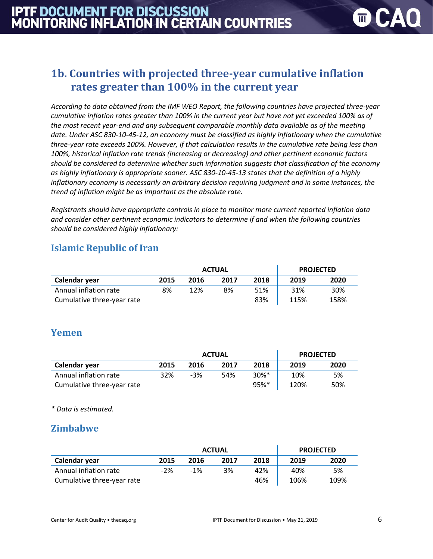$\blacksquare$ 

# **1b. Countries with projected three-year cumulative inflation rates greater than 100% in the current year**

*According to data obtained from the IMF WEO Report, the following countries have projected three-year cumulative inflation rates greater than 100% in the current year but have not yet exceeded 100% as of the most recent year-end and any subsequent comparable monthly data available as of the meeting date. Under ASC 830-10-45-12, an economy must be classified as highly inflationary when the cumulative three-year rate exceeds 100%. However, if that calculation results in the cumulative rate being less than 100%, historical inflation rate trends (increasing or decreasing) and other pertinent economic factors should be considered to determine whether such information suggests that classification of the economy as highly inflationary is appropriate sooner. ASC 830-10-45-13 states that the definition of a highly inflationary economy is necessarily an arbitrary decision requiring judgment and in some instances, the trend of inflation might be as important as the absolute rate.*

*Registrants should have appropriate controls in place to monitor more current reported inflation data and consider other pertinent economic indicators to determine if and when the following countries should be considered highly inflationary:*

## **Islamic Republic of Iran**

|                            |      | <b>ACTUAL</b> | <b>PROJECTED</b> |      |      |      |
|----------------------------|------|---------------|------------------|------|------|------|
| Calendar year              | 2015 | 2016          | 2017             | 2018 | 2019 | 2020 |
| Annual inflation rate      | 8%   | 12%           | 8%               | 51%  | 31%  | 30%  |
| Cumulative three-year rate |      |               |                  | 83%  | 115% | 158% |

#### **Yemen**

|                            | <b>ACTUAL</b> |       |      |                     | <b>PROJECTED</b> |      |
|----------------------------|---------------|-------|------|---------------------|------------------|------|
| Calendar year              | 2015          | 2016  | 2017 | 2018                | 2019             | 2020 |
| Annual inflation rate      | 32%           | $-3%$ | 54%  | $30\%$ <sup>*</sup> | 10%              | 5%   |
| Cumulative three-year rate |               |       |      | 95%*                | 120%             | 50%  |

*\* Data is estimated.* 

#### **Zimbabwe**

|                            | <b>ACTUAL</b> |       |      |      |      | <b>PROJECTED</b> |
|----------------------------|---------------|-------|------|------|------|------------------|
| Calendar year              | 2015          | 2016  | 2017 | 2018 | 2019 | 2020             |
| Annual inflation rate      | $-2%$         | $-1%$ | 3%   | 42%  | 40%  | 5%               |
| Cumulative three-year rate |               |       |      | 46%  | 106% | 109%             |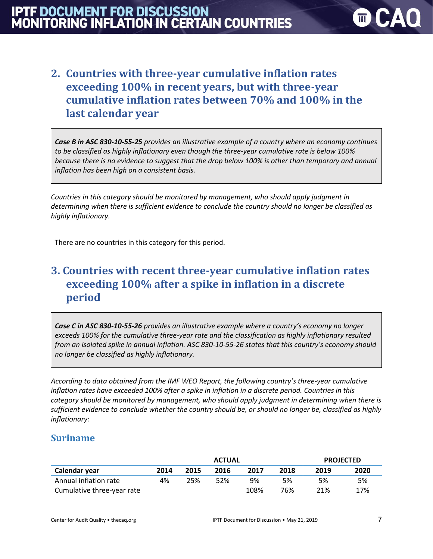# **2. Countries with three-year cumulative inflation rates exceeding 100% in recent years, but with three-year cumulative inflation rates between 70% and 100% in the last calendar year**

*Case B in ASC 830-10-55-25 provides an illustrative example of a country where an economy continues to be classified as highly inflationary even though the three-year cumulative rate is below 100% because there is no evidence to suggest that the drop below 100% is other than temporary and annual inflation has been high on a consistent basis.* 

*Countries in this category should be monitored by management, who should apply judgment in determining when there is sufficient evidence to conclude the country should no longer be classified as highly inflationary.*

There are no countries in this category for this period.

# **3. Countries with recent three-year cumulative inflation rates exceeding 100% after a spike in inflation in a discrete period**

*Case C in ASC 830-10-55-26 provides an illustrative example where a country's economy no longer exceeds 100% for the cumulative three-year rate and the classification as highly inflationary resulted from an isolated spike in annual inflation. ASC 830-10-55-26 states that this country's economy should no longer be classified as highly inflationary.*

*According to data obtained from the IMF WEO Report, the following country's three-year cumulative inflation rates have exceeded 100% after a spike in inflation in a discrete period. Countries in this category should be monitored by management, who should apply judgment in determining when there is sufficient evidence to conclude whether the country should be, or should no longer be, classified as highly inflationary:*

#### **Suriname**

|                            | <b>ACTUAL</b> |      |      |      | <b>PROJECTED</b> |      |      |
|----------------------------|---------------|------|------|------|------------------|------|------|
| Calendar year              | 2014          | 2015 | 2016 | 2017 | 2018             | 2019 | 2020 |
| Annual inflation rate      | 4%            | 25%  | 52%  | 9%   | 5%               | 5%   | 5%   |
| Cumulative three-year rate |               |      |      | 108% | 76%              | 21%  | 17%  |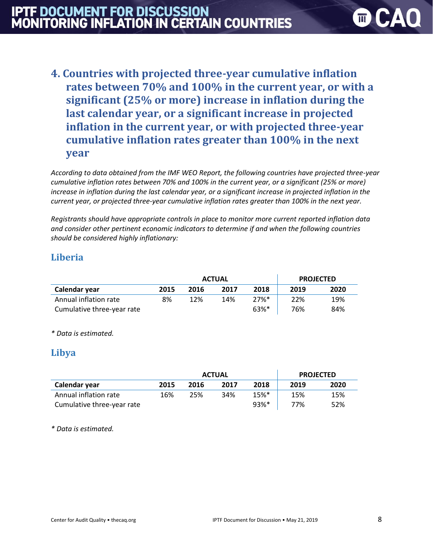# **IPTF DOCUMENT FOR DISCUSSION<br>MONITORING INFLATION IN CERTAIN COUNTRIES**

**4. Countries with projected three-year cumulative inflation rates between 70% and 100% in the current year, or with a significant (25% or more) increase in inflation during the last calendar year, or a significant increase in projected inflation in the current year, or with projected three-year cumulative inflation rates greater than 100% in the next year**

*According to data obtained from the IMF WEO Report, the following countries have projected three-year cumulative inflation rates between 70% and 100% in the current year, or a significant (25% or more) increase in inflation during the last calendar year, or a significant increase in projected inflation in the current year, or projected three-year cumulative inflation rates greater than 100% in the next year.* 

*Registrants should have appropriate controls in place to monitor more current reported inflation data and consider other pertinent economic indicators to determine if and when the following countries should be considered highly inflationary:*

### **Liberia**

|                            | <b>ACTUAL</b> |      |      |         | <b>PROJECTED</b> |      |
|----------------------------|---------------|------|------|---------|------------------|------|
| Calendar year              | 2015          | 2016 | 2017 | 2018    | 2019             | 2020 |
| Annual inflation rate      | 8%            | 12%  | 14%  | $27%$ * | 22%              | 19%  |
| Cumulative three-year rate |               |      |      | 63%*    | 76%              | 84%  |

*\* Data is estimated.* 

#### **Libya**

|                            | <b>ACTUAL</b> |      |      |                    | <b>PROJECTED</b> |      |
|----------------------------|---------------|------|------|--------------------|------------------|------|
| Calendar year              | 2015          | 2016 | 2017 | 2018               | 2019             | 2020 |
| Annual inflation rate      | 16%           | 25%  | 34%  | $15%$ <sup>*</sup> | 15%              | 15%  |
| Cumulative three-year rate |               |      |      | $93%$ <sup>*</sup> | 77%              | 52%  |

*\* Data is estimated.* 

 $\overline{m}$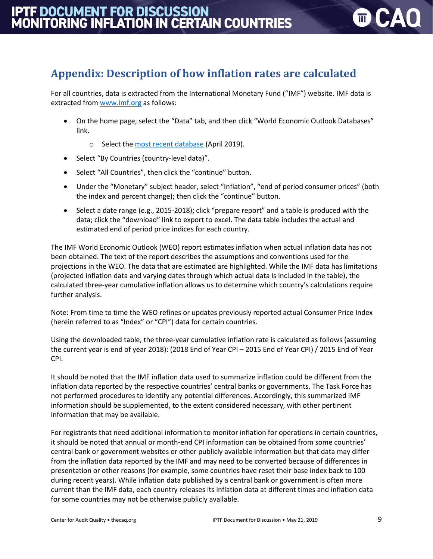# **Appendix: Description of how inflation rates are calculated**

For all countries, data is extracted from the International Monetary Fund ("IMF") website. IMF data is extracted from [www.imf.org](http://www.imf.org/) as follows:

- On the home page, select the "Data" tab, and then click "World Economic Outlook Databases" link.
	- o Select the [most recent database](https://www.imf.org/external/pubs/ft/weo/2019/01/weodata/index.aspx) (April 2019).
- Select "By Countries (country-level data)".
- Select "All Countries", then click the "continue" button.
- Under the "Monetary" subject header, select "Inflation", "end of period consumer prices" (both the index and percent change); then click the "continue" button.
- Select a date range (e.g., 2015-2018); click "prepare report" and a table is produced with the data; click the "download" link to export to excel. The data table includes the actual and estimated end of period price indices for each country.

The IMF World Economic Outlook (WEO) report estimates inflation when actual inflation data has not been obtained. The text of the report describes the assumptions and conventions used for the projections in the WEO. The data that are estimated are highlighted. While the IMF data has limitations (projected inflation data and varying dates through which actual data is included in the table), the calculated three-year cumulative inflation allows us to determine which country's calculations require further analysis.

Note: From time to time the WEO refines or updates previously reported actual Consumer Price Index (herein referred to as "Index" or "CPI") data for certain countries.

Using the downloaded table, the three-year cumulative inflation rate is calculated as follows (assuming the current year is end of year 2018): (2018 End of Year CPI – 2015 End of Year CPI) / 2015 End of Year CPI.

It should be noted that the IMF inflation data used to summarize inflation could be different from the inflation data reported by the respective countries' central banks or governments. The Task Force has not performed procedures to identify any potential differences. Accordingly, this summarized IMF information should be supplemented, to the extent considered necessary, with other pertinent information that may be available.

For registrants that need additional information to monitor inflation for operations in certain countries, it should be noted that annual or month-end CPI information can be obtained from some countries' central bank or government websites or other publicly available information but that data may differ from the inflation data reported by the IMF and may need to be converted because of differences in presentation or other reasons (for example, some countries have reset their base index back to 100 during recent years). While inflation data published by a central bank or government is often more current than the IMF data, each country releases its inflation data at different times and inflation data for some countries may not be otherwise publicly available.